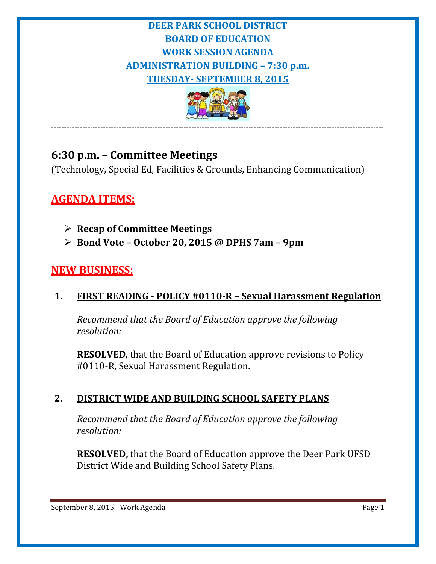## **DEER PARK SCHOOL DISTRICT BOARD OF EDUCATION WORK SESSION AGENDA ADMINISTRATION BUILDING – 7:30 p.m. TUESDAY- SEPTEMBER 8, 2015**



--------------------------------------------------------------------------------------------------------------------------------

# **6:30 p.m. – Committee Meetings**

(Technology, Special Ed, Facilities & Grounds, Enhancing Communication)

## **AGENDA ITEMS:**

- **Recap of Committee Meetings**
- **Bond Vote – October 20, 2015 @ DPHS 7am – 9pm**

## **NEW BUSINESS:**

#### **1. FIRST READING - POLICY #0110-R – Sexual Harassment Regulation**

*Recommend that the Board of Education approve the following resolution:*

**RESOLVED**, that the Board of Education approve revisions to Policy #0110-R, Sexual Harassment Regulation.

#### **2. DISTRICT WIDE AND BUILDING SCHOOL SAFETY PLANS**

*Recommend that the Board of Education approve the following resolution:*

**RESOLVED,** that the Board of Education approve the Deer Park UFSD District Wide and Building School Safety Plans.